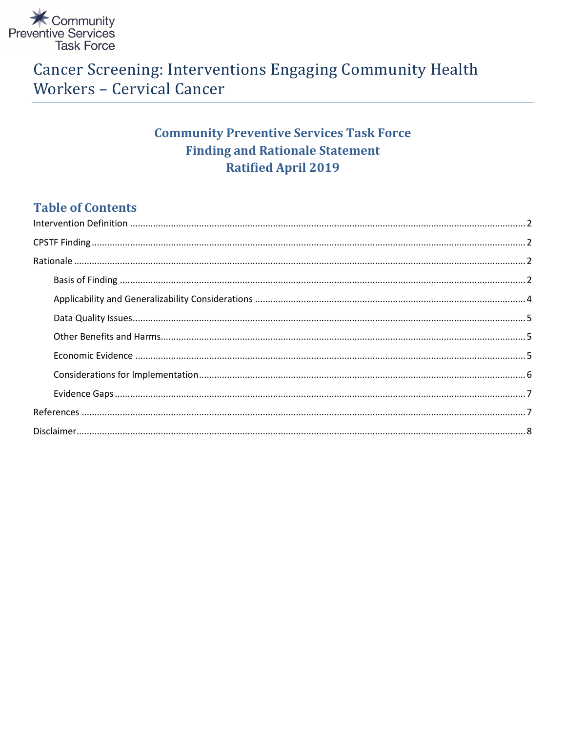

# **Cancer Screening: Interventions Engaging Community Health Workers - Cervical Cancer**

# **Community Preventive Services Task Force Finding and Rationale Statement Ratified April 2019**

# **Table of Contents**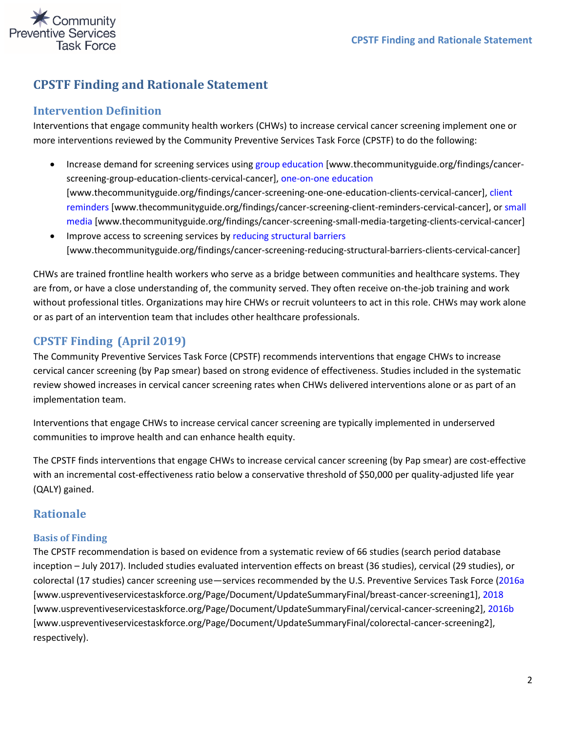

# **CPSTF Finding and Rationale Statement**

#### <span id="page-1-0"></span>**Intervention Definition**

Interventions that engage community health workers (CHWs) to increase cervical cancer screening implement one or more interventions reviewed by the Community Preventive Services Task Force (CPSTF) to do the following:

- Increase demand for screening services using [group education](https://www.thecommunityguide.org/findings/cancer-screening-group-education-clients-cervical-cancer) [www.thecommunityguide.org/findings/cancerscreening-group-education-clients-cervical-cancer], [one-on-one education](https://www.thecommunityguide.org/findings/cancer-screening-one-one-education-clients-cervical-cancer) [www.thecommunityguide.org/findings/cancer-screening-one-one-education-clients-cervical-cancer][, client](https://www.thecommunityguide.org/findings/cancer-screening-client-reminders-cervical-cancer)  [reminders](https://www.thecommunityguide.org/findings/cancer-screening-client-reminders-cervical-cancer) [www.thecommunityguide.org/findings/cancer-screening-client-reminders-cervical-cancer], or [small](https://www.thecommunityguide.org/findings/cancer-screening-small-media-targeting-clients-cervical-cancer)  [media](https://www.thecommunityguide.org/findings/cancer-screening-small-media-targeting-clients-cervical-cancer) [www.thecommunityguide.org/findings/cancer-screening-small-media-targeting-clients-cervical-cancer]
- Improve access to screening services by [reducing structural barriers](https://www.thecommunityguide.org/findings/cancer-screening-reducing-structural-barriers-clients-cervical-cancer) [www.thecommunityguide.org/findings/cancer-screening-reducing-structural-barriers-clients-cervical-cancer]

CHWs are trained frontline health workers who serve as a bridge between communities and healthcare systems. They are from, or have a close understanding of, the community served. They often receive on-the-job training and work without professional titles. Organizations may hire CHWs or recruit volunteers to act in this role. CHWs may work alone or as part of an intervention team that includes other healthcare professionals.

### <span id="page-1-1"></span>**CPSTF Finding (April 2019)**

The Community Preventive Services Task Force (CPSTF) recommends interventions that engage CHWs to increase cervical cancer screening (by Pap smear) based on strong evidence of effectiveness. Studies included in the systematic review showed increases in cervical cancer screening rates when CHWs delivered interventions alone or as part of an implementation team.

Interventions that engage CHWs to increase cervical cancer screening are typically implemented in underserved communities to improve health and can enhance health equity.

The CPSTF finds interventions that engage CHWs to increase cervical cancer screening (by Pap smear) are cost-effective with an incremental cost-effectiveness ratio below a conservative threshold of \$50,000 per quality-adjusted life year (QALY) gained.

### <span id="page-1-2"></span>**Rationale**

#### <span id="page-1-3"></span>**Basis of Finding**

The CPSTF recommendation is based on evidence from a systematic review of 66 studies (search period database inception – July 2017). Included studies evaluated intervention effects on breast (36 studies), cervical (29 studies), or colorectal (17 studies) cancer screening use—services recommended by the U.S. Preventive Services Task Force [\(2016a](https://www.uspreventiveservicestaskforce.org/Page/Document/UpdateSummaryFinal/breast-cancer-screening1) [www.uspreventiveservicestaskforce.org/Page/Document/UpdateSummaryFinal/breast-cancer-screening1], [2018](https://www.uspreventiveservicestaskforce.org/Page/Document/UpdateSummaryFinal/cervical-cancer-screening2) [www.uspreventiveservicestaskforce.org/Page/Document/UpdateSummaryFinal/cervical-cancer-screening2], [2016b](https://www.uspreventiveservicestaskforce.org/Page/Document/UpdateSummaryFinal/colorectal-cancer-screening2) [www.uspreventiveservicestaskforce.org/Page/Document/UpdateSummaryFinal/colorectal-cancer-screening2], respectively).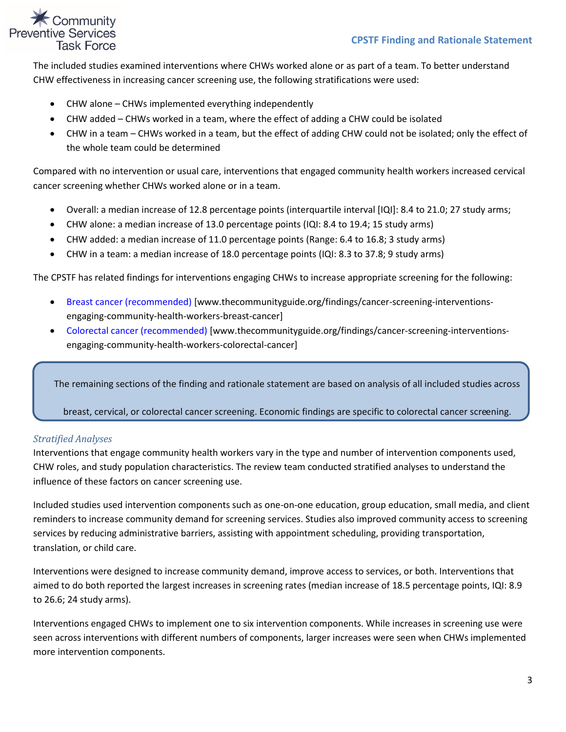### Community ve Services **Task Force**

The included studies examined interventions where CHWs worked alone or as part of a team. To better understand CHW effectiveness in increasing cancer screening use, the following stratifications were used:

- CHW alone CHWs implemented everything independently
- CHW added CHWs worked in a team, where the effect of adding a CHW could be isolated
- CHW in a team CHWs worked in a team, but the effect of adding CHW could not be isolated; only the effect of the whole team could be determined

Compared with no intervention or usual care, interventions that engaged community health workers increased cervical cancer screening whether CHWs worked alone or in a team.

- Overall: a median increase of 12.8 percentage points (interquartile interval [IQI]: 8.4 to 21.0; 27 study arms;
- CHW alone: a median increase of 13.0 percentage points (IQI: 8.4 to 19.4; 15 study arms)
- CHW added: a median increase of 11.0 percentage points (Range: 6.4 to 16.8; 3 study arms)
- CHW in a team: a median increase of 18.0 percentage points (IQI: 8.3 to 37.8; 9 study arms)

The CPSTF has related findings for interventions engaging CHWs to increase appropriate screening for the following:

- [Breast cancer \(recommended\)](https://www.thecommunityguide.org/findings/cancer-screening-interventions-engaging-community-health-workers-breast-cancer) [www.thecommunityguide.org/findings/cancer-screening-interventionsengaging-community-health-workers-breast-cancer]
- [Colorectal cancer \(recommended\) \[](https://www.thecommunityguide.org/findings/cancer-screening-interventions-engaging-community-health-workers-colorectal-cancer)www.thecommunityguide.org/findings/cancer-screening-interventionsengaging-community-health-workers-colorectal-cancer]

The remaining sections of the finding and rationale statement are based on analysis of all included studies across

breast, cervical, or colorectal cancer screening. Economic findings are specific to colorectal cancer screening.

#### *Stratified Analyses*

Interventions that engage community health workers vary in the type and number of intervention components used, CHW roles, and study population characteristics. The review team conducted stratified analyses to understand the influence of these factors on cancer screening use.

Included studies used intervention components such as one-on-one education, group education, small media, and client reminders to increase community demand for screening services. Studies also improved community access to screening services by reducing administrative barriers, assisting with appointment scheduling, providing transportation, translation, or child care.

Interventions were designed to increase community demand, improve access to services, or both. Interventions that aimed to do both reported the largest increases in screening rates (median increase of 18.5 percentage points, IQI: 8.9 to 26.6; 24 study arms).

Interventions engaged CHWs to implement one to six intervention components. While increases in screening use were seen across interventions with different numbers of components, larger increases were seen when CHWs implemented more intervention components.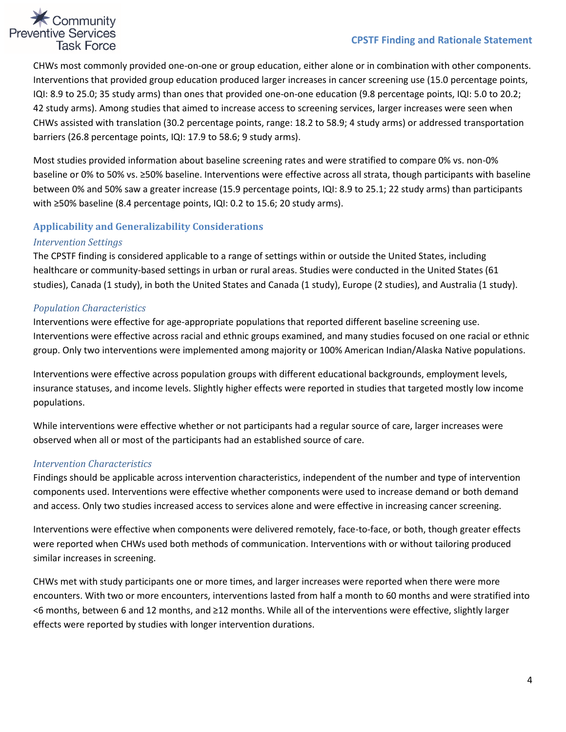#### **CPSTF Finding and Rationale Statement**

# **X** Community **Preventive Services Task Force**

CHWs most commonly provided one-on-one or group education, either alone or in combination with other components. Interventions that provided group education produced larger increases in cancer screening use (15.0 percentage points, IQI: 8.9 to 25.0; 35 study arms) than ones that provided one-on-one education (9.8 percentage points, IQI: 5.0 to 20.2; 42 study arms). Among studies that aimed to increase access to screening services, larger increases were seen when CHWs assisted with translation (30.2 percentage points, range: 18.2 to 58.9; 4 study arms) or addressed transportation barriers (26.8 percentage points, IQI: 17.9 to 58.6; 9 study arms).

Most studies provided information about baseline screening rates and were stratified to compare 0% vs. non-0% baseline or 0% to 50% vs. ≥50% baseline. Interventions were effective across all strata, though participants with baseline between 0% and 50% saw a greater increase (15.9 percentage points, IQI: 8.9 to 25.1; 22 study arms) than participants with ≥50% baseline (8.4 percentage points, IQI: 0.2 to 15.6; 20 study arms).

#### <span id="page-3-0"></span>**Applicability and Generalizability Considerations**

#### *Intervention Settings*

The CPSTF finding is considered applicable to a range of settings within or outside the United States, including healthcare or community-based settings in urban or rural areas. Studies were conducted in the United States (61 studies), Canada (1 study), in both the United States and Canada (1 study), Europe (2 studies), and Australia (1 study).

#### *Population Characteristics*

Interventions were effective for age-appropriate populations that reported different baseline screening use. Interventions were effective across racial and ethnic groups examined, and many studies focused on one racial or ethnic group. Only two interventions were implemented among majority or 100% American Indian/Alaska Native populations.

Interventions were effective across population groups with different educational backgrounds, employment levels, insurance statuses, and income levels. Slightly higher effects were reported in studies that targeted mostly low income populations.

While interventions were effective whether or not participants had a regular source of care, larger increases were observed when all or most of the participants had an established source of care.

#### *Intervention Characteristics*

Findings should be applicable across intervention characteristics, independent of the number and type of intervention components used. Interventions were effective whether components were used to increase demand or both demand and access. Only two studies increased access to services alone and were effective in increasing cancer screening.

Interventions were effective when components were delivered remotely, face-to-face, or both, though greater effects were reported when CHWs used both methods of communication. Interventions with or without tailoring produced similar increases in screening.

CHWs met with study participants one or more times, and larger increases were reported when there were more encounters. With two or more encounters, interventions lasted from half a month to 60 months and were stratified into <6 months, between 6 and 12 months, and ≥12 months. While all of the interventions were effective, slightly larger effects were reported by studies with longer intervention durations.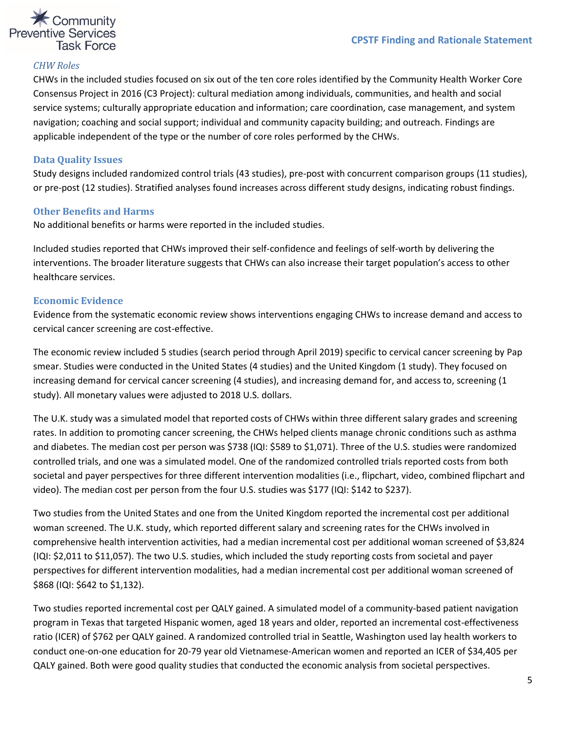

#### *CHW Roles*

CHWs in the included studies focused on six out of the ten core roles identified by the Community Health Worker Core Consensus Project in 2016 (C3 Project): cultural mediation among individuals, communities, and health and social service systems; culturally appropriate education and information; care coordination, case management, and system navigation; coaching and social support; individual and community capacity building; and outreach. Findings are applicable independent of the type or the number of core roles performed by the CHWs.

#### <span id="page-4-0"></span>**Data Quality Issues**

Study designs included randomized control trials (43 studies), pre-post with concurrent comparison groups (11 studies), or pre-post (12 studies). Stratified analyses found increases across different study designs, indicating robust findings.

#### <span id="page-4-1"></span>**Other Benefits and Harms**

No additional benefits or harms were reported in the included studies.

Included studies reported that CHWs improved their self-confidence and feelings of self-worth by delivering the interventions. The broader literature suggests that CHWs can also increase their target population's access to other healthcare services.

#### <span id="page-4-2"></span>**Economic Evidence**

Evidence from the systematic economic review shows interventions engaging CHWs to increase demand and access to cervical cancer screening are cost-effective.

The economic review included 5 studies (search period through April 2019) specific to cervical cancer screening by Pap smear. Studies were conducted in the United States (4 studies) and the United Kingdom (1 study). They focused on increasing demand for cervical cancer screening (4 studies), and increasing demand for, and access to, screening (1 study). All monetary values were adjusted to 2018 U.S. dollars.

The U.K. study was a simulated model that reported costs of CHWs within three different salary grades and screening rates. In addition to promoting cancer screening, the CHWs helped clients manage chronic conditions such as asthma and diabetes. The median cost per person was \$738 (IQI: \$589 to \$1,071). Three of the U.S. studies were randomized controlled trials, and one was a simulated model. One of the randomized controlled trials reported costs from both societal and payer perspectives for three different intervention modalities (i.e., flipchart, video, combined flipchart and video). The median cost per person from the four U.S. studies was \$177 (IQI: \$142 to \$237).

Two studies from the United States and one from the United Kingdom reported the incremental cost per additional woman screened. The U.K. study, which reported different salary and screening rates for the CHWs involved in comprehensive health intervention activities, had a median incremental cost per additional woman screened of \$3,824 (IQI: \$2,011 to \$11,057). The two U.S. studies, which included the study reporting costs from societal and payer perspectives for different intervention modalities, had a median incremental cost per additional woman screened of \$868 (IQI: \$642 to \$1,132).

Two studies reported incremental cost per QALY gained. A simulated model of a community-based patient navigation program in Texas that targeted Hispanic women, aged 18 years and older, reported an incremental cost-effectiveness ratio (ICER) of \$762 per QALY gained. A randomized controlled trial in Seattle, Washington used lay health workers to conduct one-on-one education for 20-79 year old Vietnamese-American women and reported an ICER of \$34,405 per QALY gained. Both were good quality studies that conducted the economic analysis from societal perspectives.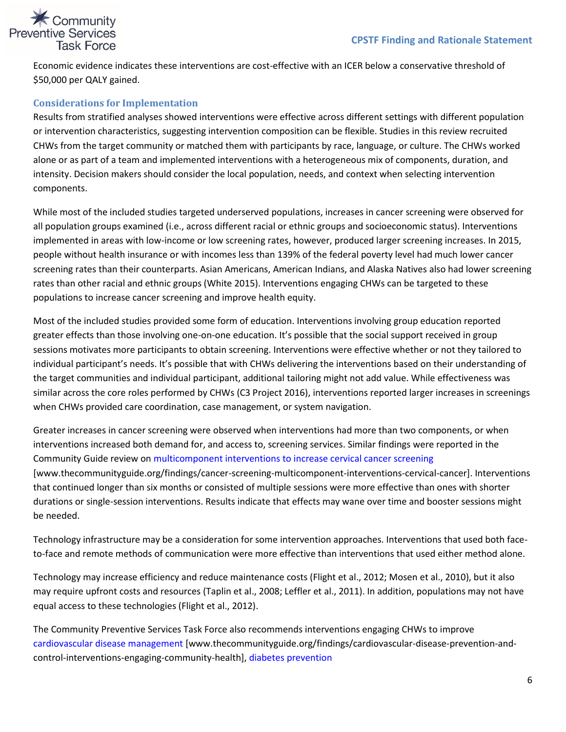# **X** Community **Preventive Services Task Force**

Economic evidence indicates these interventions are cost-effective with an ICER below a conservative threshold of \$50,000 per QALY gained.

#### <span id="page-5-0"></span>**Considerations for Implementation**

Results from stratified analyses showed interventions were effective across different settings with different population or intervention characteristics, suggesting intervention composition can be flexible. Studies in this review recruited CHWs from the target community or matched them with participants by race, language, or culture. The CHWs worked alone or as part of a team and implemented interventions with a heterogeneous mix of components, duration, and intensity. Decision makers should consider the local population, needs, and context when selecting intervention components.

While most of the included studies targeted underserved populations, increases in cancer screening were observed for all population groups examined (i.e., across different racial or ethnic groups and socioeconomic status). Interventions implemented in areas with low-income or low screening rates, however, produced larger screening increases. In 2015, people without health insurance or with incomes less than 139% of the federal poverty level had much lower cancer screening rates than their counterparts. Asian Americans, American Indians, and Alaska Natives also had lower screening rates than other racial and ethnic groups (White 2015). Interventions engaging CHWs can be targeted to these populations to increase cancer screening and improve health equity.

Most of the included studies provided some form of education. Interventions involving group education reported greater effects than those involving one-on-one education. It's possible that the social support received in group sessions motivates more participants to obtain screening. Interventions were effective whether or not they tailored to individual participant's needs. It's possible that with CHWs delivering the interventions based on their understanding of the target communities and individual participant, additional tailoring might not add value. While effectiveness was similar across the core roles performed by CHWs (C3 Project 2016), interventions reported larger increases in screenings when CHWs provided care coordination, case management, or system navigation.

Greater increases in cancer screening were observed when interventions had more than two components, or when interventions increased both demand for, and access to, screening services. Similar findings were reported in the Community Guide review on [multicomponent interventions to increase cervical cancer screening](https://www.thecommunityguide.org/findings/cancer-screening-multicomponent-interventions-cervical-cancer) [www.thecommunityguide.org/findings/cancer-screening-multicomponent-interventions-cervical-cancer]. Interventions that continued longer than six months or consisted of multiple sessions were more effective than ones with shorter durations or single-session interventions. Results indicate that effects may wane over time and booster sessions might be needed.

Technology infrastructure may be a consideration for some intervention approaches. Interventions that used both faceto-face and remote methods of communication were more effective than interventions that used either method alone.

Technology may increase efficiency and reduce maintenance costs (Flight et al., 2012; Mosen et al., 2010), but it also may require upfront costs and resources (Taplin et al., 2008; Leffler et al., 2011). In addition, populations may not have equal access to these technologies (Flight et al., 2012).

The Community Preventive Services Task Force also recommends interventions engaging CHWs to improve [cardiovascular disease management](https://www.thecommunityguide.org/findings/cardiovascular-disease-prevention-and-control-interventions-engaging-community-health) [www.thecommunityguide.org/findings/cardiovascular-disease-prevention-andcontrol-interventions-engaging-community-health][, diabetes prevention](https://www.thecommunityguide.org/findings/diabetes-prevention-interventions-engaging-community-health-workers)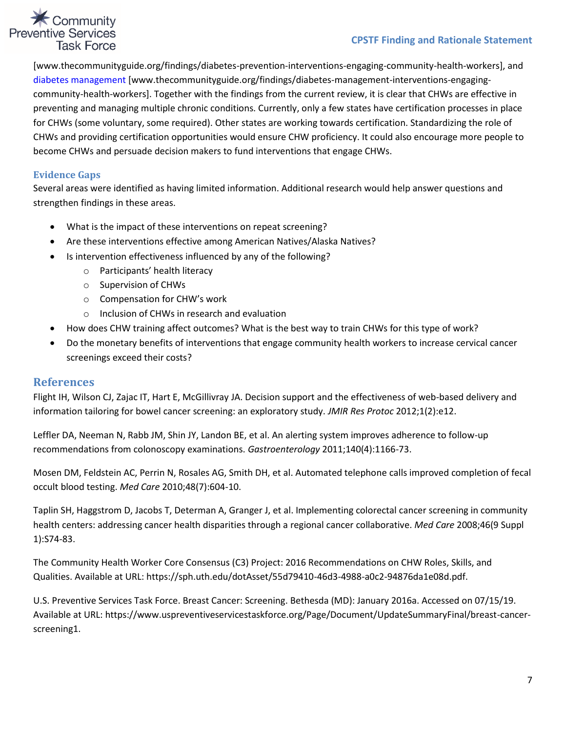#### **CPSTF Finding and Rationale Statement**

# Community **Preventive Services Task Force**

[www.thecommunityguide.org/findings/diabetes-prevention-interventions-engaging-community-health-workers], and [diabetes management](https://www.thecommunityguide.org/findings/diabetes-management-interventions-engaging-community-health-workers) [www.thecommunityguide.org/findings/diabetes-management-interventions-engagingcommunity-health-workers]. Together with the findings from the current review, it is clear that CHWs are effective in preventing and managing multiple chronic conditions. Currently, only a few states have certification processes in place for CHWs (some voluntary, some required). Other states are working towards certification. Standardizing the role of CHWs and providing certification opportunities would ensure CHW proficiency. It could also encourage more people to become CHWs and persuade decision makers to fund interventions that engage CHWs.

#### <span id="page-6-0"></span>**Evidence Gaps**

Several areas were identified as having limited information. Additional research would help answer questions and strengthen findings in these areas.

- What is the impact of these interventions on repeat screening?
- Are these interventions effective among American Natives/Alaska Natives?
- Is intervention effectiveness influenced by any of the following?
	- o Participants' health literacy
	- o Supervision of CHWs
	- o Compensation for CHW's work
	- o Inclusion of CHWs in research and evaluation
- How does CHW training affect outcomes? What is the best way to train CHWs for this type of work?
- Do the monetary benefits of interventions that engage community health workers to increase cervical cancer screenings exceed their costs?

#### <span id="page-6-1"></span>**References**

Flight IH, Wilson CJ, Zajac IT, Hart E, McGillivray JA. Decision support and the effectiveness of web-based delivery and information tailoring for bowel cancer screening: an exploratory study. *JMIR Res Protoc* 2012;1(2):e12.

Leffler DA, Neeman N, Rabb JM, Shin JY, Landon BE, et al. An alerting system improves adherence to follow-up recommendations from colonoscopy examinations. *Gastroenterology* 2011;140(4):1166-73.

Mosen DM, Feldstein AC, Perrin N, Rosales AG, Smith DH, et al. Automated telephone calls improved completion of fecal occult blood testing. *Med Care* 2010;48(7):604-10.

Taplin SH, Haggstrom D, Jacobs T, Determan A, Granger J, et al. Implementing colorectal cancer screening in community health centers: addressing cancer health disparities through a regional cancer collaborative. *Med Care* 2008;46(9 Suppl 1):S74-83.

The Community Health Worker Core Consensus (C3) Project: 2016 Recommendations on CHW Roles, Skills, and Qualities. Available at URL: https://sph.uth.edu/dotAsset/55d79410-46d3-4988-a0c2-94876da1e08d.pdf.

U.S. Preventive Services Task Force. Breast Cancer: Screening. Bethesda (MD): January 2016a. Accessed on 07/15/19. Available at URL: https://www.uspreventiveservicestaskforce.org/Page/Document/UpdateSummaryFinal/breast-cancerscreening1.